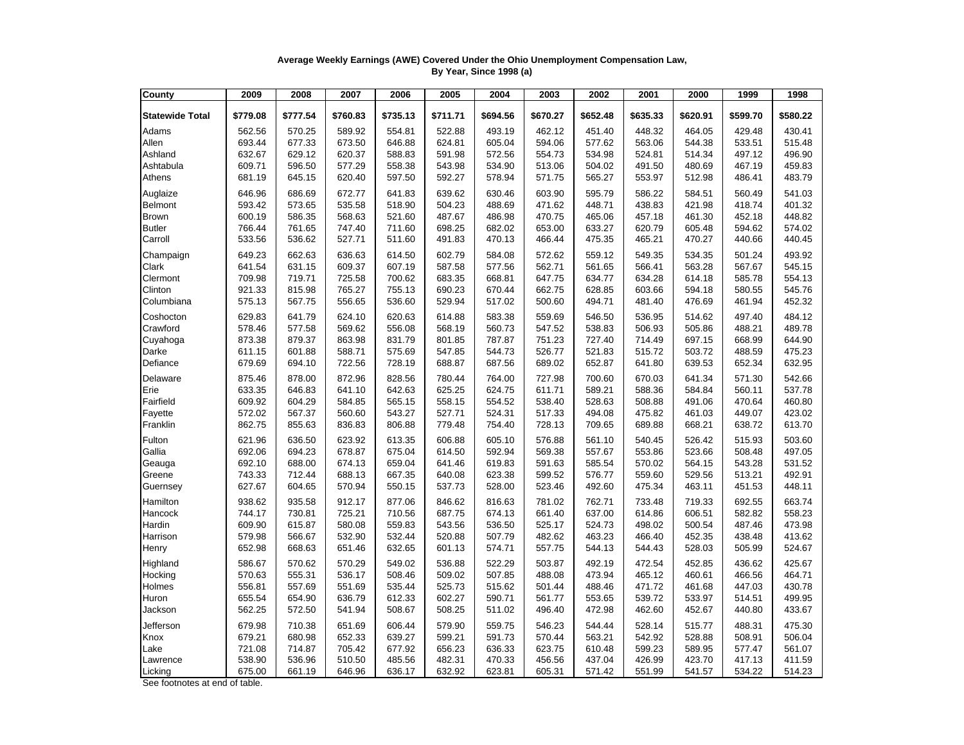## **Average Weekly Earnings (AWE) Covered Under the Ohio Unemployment Compensation Law, By Year, Since 1998 (a)**

| <b>County</b>          | 2009     | 2008     | 2007     | 2006     | 2005     | 2004     | 2003     | 2002     | 2001     | 2000     | 1999     | 1998     |
|------------------------|----------|----------|----------|----------|----------|----------|----------|----------|----------|----------|----------|----------|
| <b>Statewide Total</b> | \$779.08 | \$777.54 | \$760.83 | \$735.13 | \$711.71 | \$694.56 | \$670.27 | \$652.48 | \$635.33 | \$620.91 | \$599.70 | \$580.22 |
| Adams                  | 562.56   | 570.25   | 589.92   | 554.81   | 522.88   | 493.19   | 462.12   | 451.40   | 448.32   | 464.05   | 429.48   | 430.41   |
| Allen                  | 693.44   | 677.33   | 673.50   | 646.88   | 624.81   | 605.04   | 594.06   | 577.62   | 563.06   | 544.38   | 533.51   | 515.48   |
| Ashland                | 632.67   | 629.12   | 620.37   | 588.83   | 591.98   | 572.56   | 554.73   | 534.98   | 524.81   | 514.34   | 497.12   | 496.90   |
| Ashtabula              | 609.71   | 596.50   | 577.29   | 558.38   | 543.98   | 534.90   | 513.06   | 504.02   | 491.50   | 480.69   | 467.19   | 459.83   |
| Athens                 | 681.19   | 645.15   | 620.40   | 597.50   | 592.27   | 578.94   | 571.75   | 565.27   | 553.97   | 512.98   | 486.41   | 483.79   |
| Auglaize               | 646.96   | 686.69   | 672.77   | 641.83   | 639.62   | 630.46   | 603.90   | 595.79   | 586.22   | 584.51   | 560.49   | 541.03   |
| Belmont                | 593.42   | 573.65   | 535.58   | 518.90   | 504.23   | 488.69   | 471.62   | 448.71   | 438.83   | 421.98   | 418.74   | 401.32   |
| <b>Brown</b>           | 600.19   | 586.35   | 568.63   | 521.60   | 487.67   | 486.98   | 470.75   | 465.06   | 457.18   | 461.30   | 452.18   | 448.82   |
| <b>Butler</b>          | 766.44   | 761.65   | 747.40   | 711.60   | 698.25   | 682.02   | 653.00   | 633.27   | 620.79   | 605.48   | 594.62   | 574.02   |
| Carroll                | 533.56   | 536.62   | 527.71   | 511.60   | 491.83   | 470.13   | 466.44   | 475.35   | 465.21   | 470.27   | 440.66   | 440.45   |
| Champaign              | 649.23   | 662.63   | 636.63   | 614.50   | 602.79   | 584.08   | 572.62   | 559.12   | 549.35   | 534.35   | 501.24   | 493.92   |
| Clark                  | 641.54   | 631.15   | 609.37   | 607.19   | 587.58   | 577.56   | 562.71   | 561.65   | 566.41   | 563.28   | 567.67   | 545.15   |
| Clermont               | 709.98   | 719.71   | 725.58   | 700.62   | 683.35   | 668.81   | 647.75   | 634.77   | 634.28   | 614.18   | 585.78   | 554.13   |
| Clinton                | 921.33   | 815.98   | 765.27   | 755.13   | 690.23   | 670.44   | 662.75   | 628.85   | 603.66   | 594.18   | 580.55   | 545.76   |
| Columbiana             | 575.13   | 567.75   | 556.65   | 536.60   | 529.94   | 517.02   | 500.60   | 494.71   | 481.40   | 476.69   | 461.94   | 452.32   |
| Coshocton              | 629.83   | 641.79   | 624.10   | 620.63   | 614.88   | 583.38   | 559.69   | 546.50   | 536.95   | 514.62   | 497.40   | 484.12   |
| Crawford               | 578.46   | 577.58   | 569.62   | 556.08   | 568.19   | 560.73   | 547.52   | 538.83   | 506.93   | 505.86   | 488.21   | 489.78   |
| Cuyahoga               | 873.38   | 879.37   | 863.98   | 831.79   | 801.85   | 787.87   | 751.23   | 727.40   | 714.49   | 697.15   | 668.99   | 644.90   |
| Darke                  | 611.15   | 601.88   | 588.71   | 575.69   | 547.85   | 544.73   | 526.77   | 521.83   | 515.72   | 503.72   | 488.59   | 475.23   |
| Defiance               | 679.69   | 694.10   | 722.56   | 728.19   | 688.87   | 687.56   | 689.02   | 652.87   | 641.80   | 639.53   | 652.34   | 632.95   |
| Delaware               | 875.46   | 878.00   | 872.96   | 828.56   | 780.44   | 764.00   | 727.98   | 700.60   | 670.03   | 641.34   | 571.30   | 542.66   |
| Erie                   | 633.35   | 646.83   | 641.10   | 642.63   | 625.25   | 624.75   | 611.71   | 589.21   | 588.36   | 584.84   | 560.11   | 537.78   |
| Fairfield              | 609.92   | 604.29   | 584.85   | 565.15   | 558.15   | 554.52   | 538.40   | 528.63   | 508.88   | 491.06   | 470.64   | 460.80   |
| Fayette                | 572.02   | 567.37   | 560.60   | 543.27   | 527.71   | 524.31   | 517.33   | 494.08   | 475.82   | 461.03   | 449.07   | 423.02   |
| Franklin               | 862.75   | 855.63   | 836.83   | 806.88   | 779.48   | 754.40   | 728.13   | 709.65   | 689.88   | 668.21   | 638.72   | 613.70   |
| Fulton                 | 621.96   | 636.50   | 623.92   | 613.35   | 606.88   | 605.10   | 576.88   | 561.10   | 540.45   | 526.42   | 515.93   | 503.60   |
| Gallia                 | 692.06   | 694.23   | 678.87   | 675.04   | 614.50   | 592.94   | 569.38   | 557.67   | 553.86   | 523.66   | 508.48   | 497.05   |
| Geauga                 | 692.10   | 688.00   | 674.13   | 659.04   | 641.46   | 619.83   | 591.63   | 585.54   | 570.02   | 564.15   | 543.28   | 531.52   |
| Greene                 | 743.33   | 712.44   | 688.13   | 667.35   | 640.08   | 623.38   | 599.52   | 576.77   | 559.60   | 529.56   | 513.21   | 492.91   |
| Guernsey               | 627.67   | 604.65   | 570.94   | 550.15   | 537.73   | 528.00   | 523.46   | 492.60   | 475.34   | 463.11   | 451.53   | 448.11   |
| Hamilton               | 938.62   | 935.58   | 912.17   | 877.06   | 846.62   | 816.63   | 781.02   | 762.71   | 733.48   | 719.33   | 692.55   | 663.74   |
| Hancock                | 744.17   | 730.81   | 725.21   | 710.56   | 687.75   | 674.13   | 661.40   | 637.00   | 614.86   | 606.51   | 582.82   | 558.23   |
| Hardin                 | 609.90   | 615.87   | 580.08   | 559.83   | 543.56   | 536.50   | 525.17   | 524.73   | 498.02   | 500.54   | 487.46   | 473.98   |
| Harrison               | 579.98   | 566.67   | 532.90   | 532.44   | 520.88   | 507.79   | 482.62   | 463.23   | 466.40   | 452.35   | 438.48   | 413.62   |
| Henry                  | 652.98   | 668.63   | 651.46   | 632.65   | 601.13   | 574.71   | 557.75   | 544.13   | 544.43   | 528.03   | 505.99   | 524.67   |
| Highland               | 586.67   | 570.62   | 570.29   | 549.02   | 536.88   | 522.29   | 503.87   | 492.19   | 472.54   | 452.85   | 436.62   | 425.67   |
| Hocking                | 570.63   | 555.31   | 536.17   | 508.46   | 509.02   | 507.85   | 488.08   | 473.94   | 465.12   | 460.61   | 466.56   | 464.71   |
| Holmes                 | 556.81   | 557.69   | 551.69   | 535.44   | 525.73   | 515.62   | 501.44   | 488.46   | 471.72   | 461.68   | 447.03   | 430.78   |
| Huron                  | 655.54   | 654.90   | 636.79   | 612.33   | 602.27   | 590.71   | 561.77   | 553.65   | 539.72   | 533.97   | 514.51   | 499.95   |
| Jackson                | 562.25   | 572.50   | 541.94   | 508.67   | 508.25   | 511.02   | 496.40   | 472.98   | 462.60   | 452.67   | 440.80   | 433.67   |
| Jefferson              | 679.98   | 710.38   | 651.69   | 606.44   | 579.90   | 559.75   | 546.23   | 544.44   | 528.14   | 515.77   | 488.31   | 475.30   |
| Knox                   | 679.21   | 680.98   | 652.33   | 639.27   | 599.21   | 591.73   | 570.44   | 563.21   | 542.92   | 528.88   | 508.91   | 506.04   |
| Lake                   | 721.08   | 714.87   | 705.42   | 677.92   | 656.23   | 636.33   | 623.75   | 610.48   | 599.23   | 589.95   | 577.47   | 561.07   |
| Lawrence               | 538.90   | 536.96   | 510.50   | 485.56   | 482.31   | 470.33   | 456.56   | 437.04   | 426.99   | 423.70   | 417.13   | 411.59   |
| Licking                | 675.00   | 661.19   | 646.96   | 636.17   | 632.92   | 623.81   | 605.31   | 571.42   | 551.99   | 541.57   | 534.22   | 514.23   |

See footnotes at end of table.